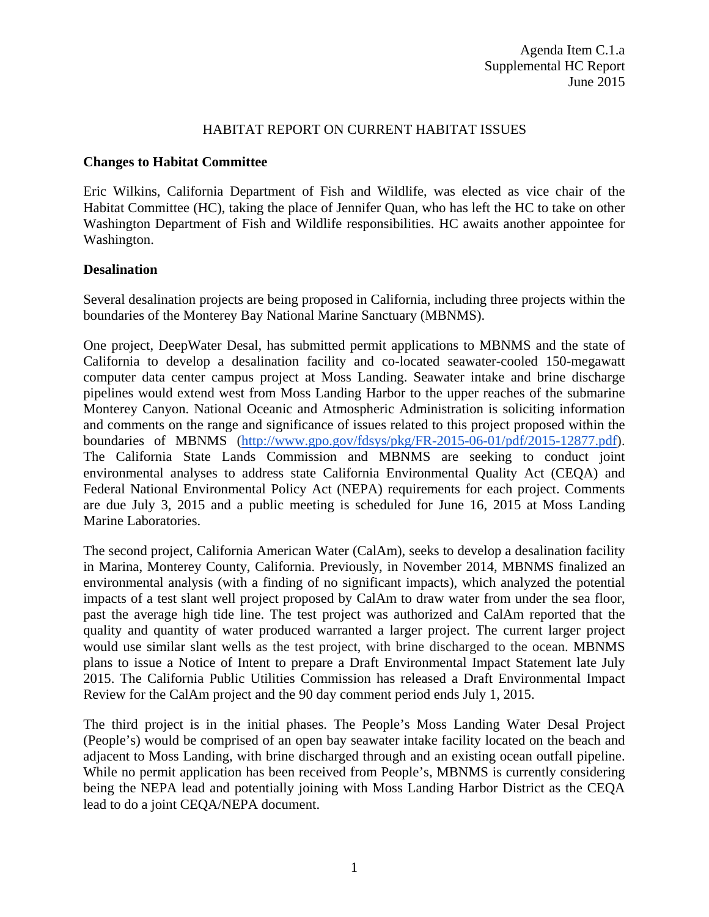#### HABITAT REPORT ON CURRENT HABITAT ISSUES

#### **Changes to Habitat Committee**

Eric Wilkins, California Department of Fish and Wildlife, was elected as vice chair of the Habitat Committee (HC), taking the place of Jennifer Quan, who has left the HC to take on other Washington Department of Fish and Wildlife responsibilities. HC awaits another appointee for Washington.

#### **Desalination**

Several desalination projects are being proposed in California, including three projects within the boundaries of the Monterey Bay National Marine Sanctuary (MBNMS).

One project, DeepWater Desal, has submitted permit applications to MBNMS and the state of California to develop a desalination facility and co-located seawater-cooled 150-megawatt computer data center campus project at Moss Landing. Seawater intake and brine discharge pipelines would extend west from Moss Landing Harbor to the upper reaches of the submarine Monterey Canyon. National Oceanic and Atmospheric Administration is soliciting information and comments on the range and significance of issues related to this project proposed within the boundaries of MBNMS [\(http://www.gpo.gov/fdsys/pkg/FR-2015-06-01/pdf/2015-12877.pdf\)](http://www.gpo.gov/fdsys/pkg/FR-2015-06-01/pdf/2015-12877.pdf). The California State Lands Commission and MBNMS are seeking to conduct joint environmental analyses to address state California Environmental Quality Act (CEQA) and Federal National Environmental Policy Act (NEPA) requirements for each project. Comments are due July 3, 2015 and a public meeting is scheduled for June 16, 2015 at Moss Landing Marine Laboratories.

The second project, California American Water (CalAm), seeks to develop a desalination facility in Marina, Monterey County, California. Previously, in November 2014, MBNMS finalized an environmental analysis (with a finding of no significant impacts), which analyzed the potential impacts of a test slant well project proposed by CalAm to draw water from under the sea floor, past the average high tide line. The test project was authorized and CalAm reported that the quality and quantity of water produced warranted a larger project. The current larger project would use similar slant wells as the test project, with brine discharged to the ocean. MBNMS plans to issue a Notice of Intent to prepare a Draft Environmental Impact Statement late July 2015. The California Public Utilities Commission has released a Draft Environmental Impact Review for the CalAm project and the 90 day comment period ends July 1, 2015.

The third project is in the initial phases. The People's Moss Landing Water Desal Project (People's) would be comprised of an open bay seawater intake facility located on the beach and adjacent to Moss Landing, with brine discharged through and an existing ocean outfall pipeline. While no permit application has been received from People's, MBNMS is currently considering being the NEPA lead and potentially joining with Moss Landing Harbor District as the CEQA lead to do a joint CEQA/NEPA document.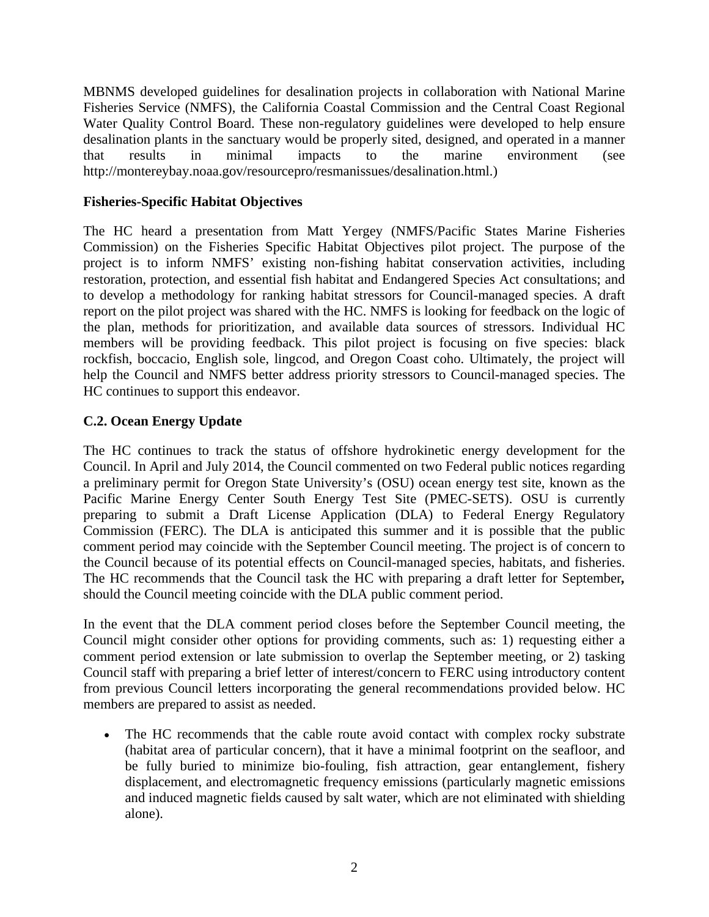MBNMS developed guidelines for desalination projects in collaboration with National Marine Fisheries Service (NMFS), the California Coastal Commission and the Central Coast Regional Water Quality Control Board. These non-regulatory guidelines were developed to help ensure desalination plants in the sanctuary would be properly sited, designed, and operated in a manner that results in minimal impacts to the marine environment (see http://montereybay.noaa.gov/resourcepro/resmanissues/desalination.html.)

### **Fisheries-Specific Habitat Objectives**

The HC heard a presentation from Matt Yergey (NMFS/Pacific States Marine Fisheries Commission) on the Fisheries Specific Habitat Objectives pilot project. The purpose of the project is to inform NMFS' existing non-fishing habitat conservation activities, including restoration, protection, and essential fish habitat and Endangered Species Act consultations; and to develop a methodology for ranking habitat stressors for Council-managed species. A draft report on the pilot project was shared with the HC. NMFS is looking for feedback on the logic of the plan, methods for prioritization, and available data sources of stressors. Individual HC members will be providing feedback. This pilot project is focusing on five species: black rockfish, boccacio, English sole, lingcod, and Oregon Coast coho. Ultimately, the project will help the Council and NMFS better address priority stressors to Council-managed species. The HC continues to support this endeavor.

# **C.2. Ocean Energy Update**

The HC continues to track the status of offshore hydrokinetic energy development for the Council. In April and July 2014, the Council commented on two Federal public notices regarding a preliminary permit for Oregon State University's (OSU) ocean energy test site, known as the Pacific Marine Energy Center South Energy Test Site (PMEC-SETS). OSU is currently preparing to submit a Draft License Application (DLA) to Federal Energy Regulatory Commission (FERC). The DLA is anticipated this summer and it is possible that the public comment period may coincide with the September Council meeting. The project is of concern to the Council because of its potential effects on Council-managed species, habitats, and fisheries. The HC recommends that the Council task the HC with preparing a draft letter for September*,* should the Council meeting coincide with the DLA public comment period.

In the event that the DLA comment period closes before the September Council meeting, the Council might consider other options for providing comments, such as: 1) requesting either a comment period extension or late submission to overlap the September meeting, or 2) tasking Council staff with preparing a brief letter of interest/concern to FERC using introductory content from previous Council letters incorporating the general recommendations provided below. HC members are prepared to assist as needed.

• The HC recommends that the cable route avoid contact with complex rocky substrate (habitat area of particular concern), that it have a minimal footprint on the seafloor, and be fully buried to minimize bio-fouling, fish attraction, gear entanglement, fishery displacement, and electromagnetic frequency emissions (particularly magnetic emissions and induced magnetic fields caused by salt water, which are not eliminated with shielding alone).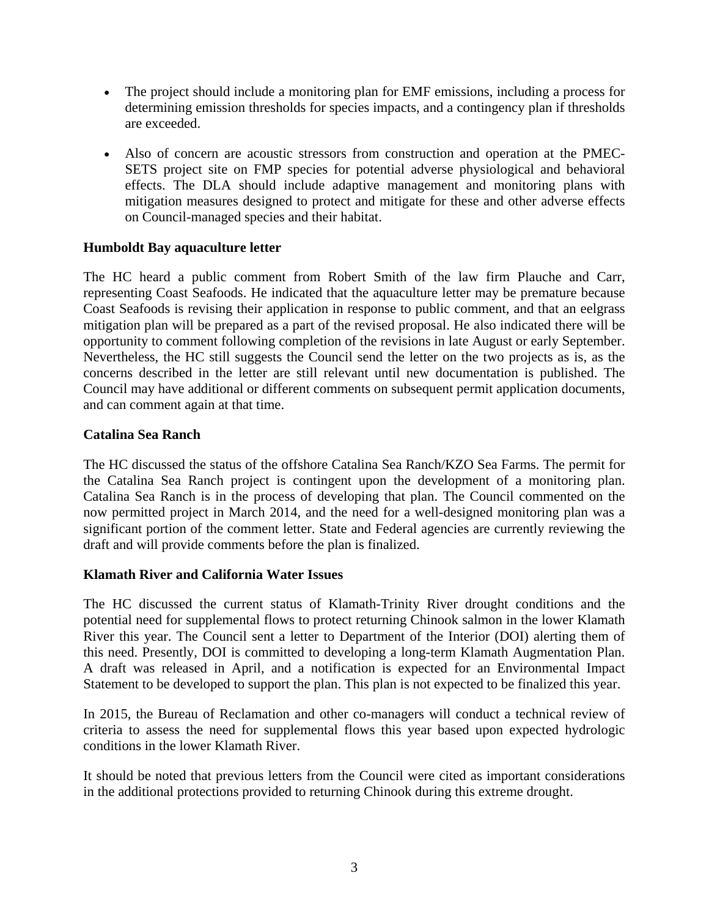- The project should include a monitoring plan for EMF emissions, including a process for determining emission thresholds for species impacts, and a contingency plan if thresholds are exceeded.
- Also of concern are acoustic stressors from construction and operation at the PMEC-SETS project site on FMP species for potential adverse physiological and behavioral effects. The DLA should include adaptive management and monitoring plans with mitigation measures designed to protect and mitigate for these and other adverse effects on Council-managed species and their habitat.

# **Humboldt Bay aquaculture letter**

The HC heard a public comment from Robert Smith of the law firm Plauche and Carr, representing Coast Seafoods. He indicated that the aquaculture letter may be premature because Coast Seafoods is revising their application in response to public comment, and that an eelgrass mitigation plan will be prepared as a part of the revised proposal. He also indicated there will be opportunity to comment following completion of the revisions in late August or early September. Nevertheless, the HC still suggests the Council send the letter on the two projects as is, as the concerns described in the letter are still relevant until new documentation is published. The Council may have additional or different comments on subsequent permit application documents, and can comment again at that time.

#### **Catalina Sea Ranch**

The HC discussed the status of the offshore Catalina Sea Ranch/KZO Sea Farms. The permit for the Catalina Sea Ranch project is contingent upon the development of a monitoring plan. Catalina Sea Ranch is in the process of developing that plan. The Council commented on the now permitted project in March 2014, and the need for a well-designed monitoring plan was a significant portion of the comment letter. State and Federal agencies are currently reviewing the draft and will provide comments before the plan is finalized.

# **Klamath River and California Water Issues**

The HC discussed the current status of Klamath-Trinity River drought conditions and the potential need for supplemental flows to protect returning Chinook salmon in the lower Klamath River this year. The Council sent a letter to Department of the Interior (DOI) alerting them of this need. Presently, DOI is committed to developing a long-term Klamath Augmentation Plan. A draft was released in April, and a notification is expected for an Environmental Impact Statement to be developed to support the plan. This plan is not expected to be finalized this year.

In 2015, the Bureau of Reclamation and other co-managers will conduct a technical review of criteria to assess the need for supplemental flows this year based upon expected hydrologic conditions in the lower Klamath River.

It should be noted that previous letters from the Council were cited as important considerations in the additional protections provided to returning Chinook during this extreme drought.